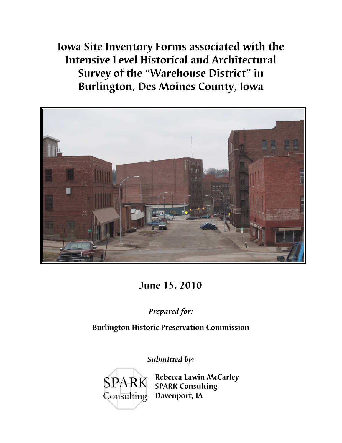**Iowa Site Inventory Forms associated with the Intensive Level Historical and Architectural Survey of the "Warehouse District" in Burlington, Des Moines County, Iowa** 



**June 15, 2010** 

*Prepared for:* 

**Burlington Historic Preservation Commission** 

*Submitted by:*



**SPARK** Rebecca Lawin McCarley **SPARK Consulting Davenport, IA**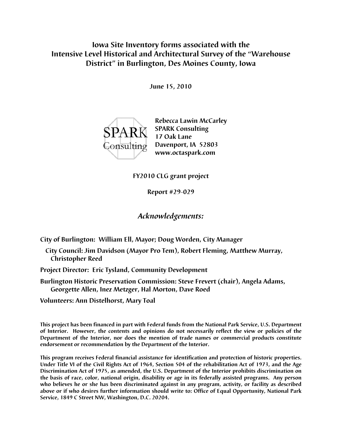## **Iowa Site Inventory forms associated with the Intensive Level Historical and Architectural Survey of the "Warehouse District" in Burlington, Des Moines County, Iowa**

**June 15, 2010** 



**Rebecca Lawin McCarley SPARK** SPARK Consulting  **17 Oak Lane Davenport, IA 52803 www.octaspark.com** 

**FY2010 CLG grant project** 

**Report #29-029** 

## *Acknowledgements:*

**City of Burlington: William Ell, Mayor; Doug Worden, City Manager** 

- **City Council: Jim Davidson (Mayor Pro Tem), Robert Fleming, Matthew Murray, Christopher Reed**
- **Project Director: Eric Tysland, Community Development**
- **Burlington Historic Preservation Commission: Steve Frevert (chair), Angela Adams, Georgette Allen, Inez Metzger, Hal Morton, Dave Roed**

**Volunteers: Ann Distelhorst, Mary Toal** 

**This project has been financed in part with Federal funds from the National Park Service, U.S. Department of Interior. However, the contents and opinions do not necessarily reflect the view or policies of the Department of the Interior, nor does the mention of trade names or commercial products constitute endorsement or recommendation by the Department of the Interior.** 

**This program receives Federal financial assistance for identification and protection of historic properties. Under Title VI of the Civil Rights Act of 1964, Section 504 of the rehabilitation Act of 1973, and the Age Discrimination Act of 1975, as amended, the U.S. Department of the Interior prohibits discrimination on the basis of race, color, national origin, disability or age in its federally assisted programs. Any person who believes he or she has been discriminated against in any program, activity, or facility as described above or if who desires further information should write to: Office of Equal Opportunity, National Park Service, 1849 C Street NW, Washington, D.C. 20204.**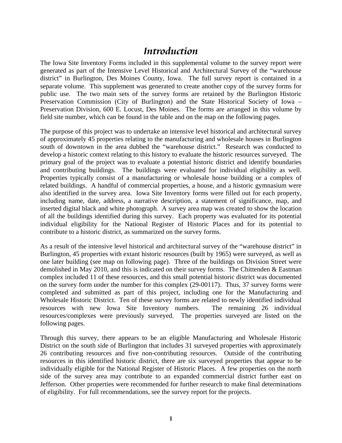## *Introduction*

The Iowa Site Inventory Forms included in this supplemental volume to the survey report were generated as part of the Intensive Level Historical and Architectural Survey of the "warehouse district" in Burlington, Des Moines County, Iowa. The full survey report is contained in a separate volume. This supplement was generated to create another copy of the survey forms for public use. The two main sets of the survey forms are retained by the Burlington Historic Preservation Commission (City of Burlington) and the State Historical Society of Iowa – Preservation Division, 600 E. Locust, Des Moines. The forms are arranged in this volume by field site number, which can be found in the table and on the map on the following pages.

The purpose of this project was to undertake an intensive level historical and architectural survey of approximately 45 properties relating to the manufacturing and wholesale houses in Burlington south of downtown in the area dubbed the "warehouse district." Research was conducted to develop a historic context relating to this history to evaluate the historic resources surveyed. The primary goal of the project was to evaluate a potential historic district and identify boundaries and contributing buildings. The buildings were evaluated for individual eligibility as well. Properties typically consist of a manufacturing or wholesale house building or a complex of related buildings. A handful of commercial properties, a house, and a historic gymnasium were also identified in the survey area. Iowa Site Inventory forms were filled out for each property, including name, date, address, a narrative description, a statement of significance, map, and inserted digital black and white photograph. A survey area map was created to show the location of all the buildings identified during this survey. Each property was evaluated for its potential individual eligibility for the National Register of Historic Places and for its potential to contribute to a historic district, as summarized on the survey forms.

As a result of the intensive level historical and architectural survey of the "warehouse district" in Burlington, 45 properties with extant historic resources (built by 1965) were surveyed, as well as one later building (see map on following page). Three of the buildings on Division Street were demolished in May 2010, and this is indicated on their survey forms. The Chittenden & Eastman complex included 11 of these resources, and this small potential historic district was documented on the survey form under the number for this complex (29-00117). Thus, 37 survey forms were completed and submitted as part of this project, including one for the Manufacturing and Wholesale Historic District. Ten of these survey forms are related to newly identified individual resources with new Iowa Site Inventory numbers. The remaining 26 individual resources/complexes were previously surveyed. The properties surveyed are listed on the following pages.

Through this survey, there appears to be an eligible Manufacturing and Wholesale Historic District on the south side of Burlington that includes 31 surveyed properties with approximately 26 contributing resources and five non-contributing resources. Outside of the contributing resources in this identified historic district, there are six surveyed properties that appear to be individually eligible for the National Register of Historic Places. A few properties on the north side of the survey area may contribute to an expanded commercial district further east on Jefferson. Other properties were recommended for further research to make final determinations of eligibility. For full recommendations, see the survey report for the projects.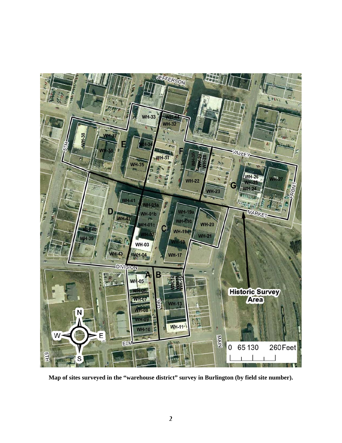

**Map of sites surveyed in the "warehouse district" survey in Burlington (by field site number).**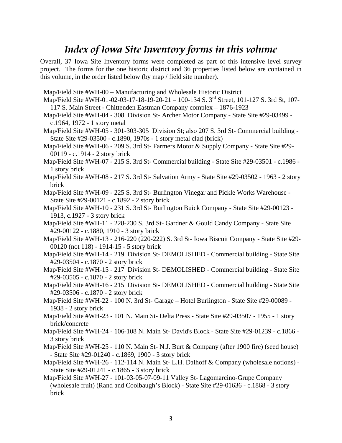## *Index of Iowa Site Inventory forms in this volume*

Overall, 37 Iowa Site Inventory forms were completed as part of this intensive level survey project. The forms for the one historic district and 36 properties listed below are contained in this volume, in the order listed below (by map / field site number).

- Map/Field Site #WH-00 Manufacturing and Wholesale Historic District
- Map/Field Site #WH-01-02-03-17-18-19-20-21 100-134 S. 3rd Street, 101-127 S. 3rd St, 107- 117 S. Main Street - Chittenden Eastman Company complex – 1876-1923
- Map/Field Site #WH-04 308 Division St- Archer Motor Company State Site #29-03499 c.1964, 1972 - 1 story metal
- Map/Field Site #WH-05 301-303-305 Division St; also 207 S. 3rd St- Commercial building State Site #29-03500 - c.1890, 1970s - 1 story metal clad (brick)
- Map/Field Site #WH-06 209 S. 3rd St- Farmers Motor & Supply Company State Site #29- 00119 - c.1914 - 2 story brick
- Map/Field Site #WH-07 215 S. 3rd St- Commercial building State Site #29-03501 c.1986 1 story brick
- Map/Field Site #WH-08 217 S. 3rd St- Salvation Army State Site #29-03502 1963 2 story brick
- Map/Field Site #WH-09 225 S. 3rd St- Burlington Vinegar and Pickle Works Warehouse State Site #29-00121 - c.1892 - 2 story brick
- Map/Field Site #WH-10 231 S. 3rd St- Burlington Buick Company State Site #29-00123 1913, c.1927 - 3 story brick
- Map/Field Site #WH-11 228-230 S. 3rd St- Gardner & Gould Candy Company State Site #29-00122 - c.1880, 1910 - 3 story brick
- Map/Field Site #WH-13 216-220 (220-222) S. 3rd St- Iowa Biscuit Company State Site #29- 00120 (not 118) - 1914-15 - 5 story brick
- Map/Field Site #WH-14 219 Division St- DEMOLISHED Commercial building State Site #29-03504 - c.1870 - 2 story brick
- Map/Field Site #WH-15 217 Division St- DEMOLISHED Commercial building State Site #29-03505 - c.1870 - 2 story brick
- Map/Field Site #WH-16 215 Division St- DEMOLISHED Commercial building State Site #29-03506 - c.1870 - 2 story brick
- Map/Field Site #WH-22 100 N. 3rd St- Garage Hotel Burlington State Site #29-00089 1938 - 2 story brick
- Map/Field Site #WH-23 101 N. Main St- Delta Press State Site #29-03507 1955 1 story brick/concrete
- Map/Field Site #WH-24 106-108 N. Main St- David's Block State Site #29-01239 c.1866 3 story brick
- Map/Field Site #WH-25 110 N. Main St- N.J. Burt & Company (after 1900 fire) (seed house) - State Site #29-01240 - c.1869, 1900 - 3 story brick
- Map/Field Site #WH-26 112-114 N. Main St- L.H. Dalhoff & Company (wholesale notions) State Site #29-01241 - c.1865 - 3 story brick
- Map/Field Site #WH-27 101-03-05-07-09-11 Valley St- Lagomarcino-Grupe Company (wholesale fruit) (Rand and Coolbaugh's Block) - State Site #29-01636 - c.1868 - 3 story brick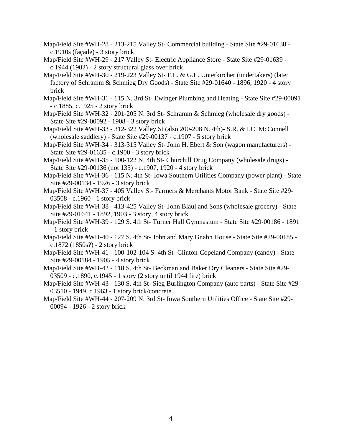- Map/Field Site #WH-28 213-215 Valley St- Commercial building State Site #29-01638 c.1910s (façade) - 3 story brick
- Map/Field Site #WH-29 217 Valley St- Electric Appliance Store State Site #29-01639 c.1944 (1902) - 2 story structural glass over brick
- Map/Field Site #WH-30 219-223 Valley St- F.L. & G.L. Unterkircher (undertakers) (later factory of Schramm & Schmieg Dry Goods) - State Site #29-01640 - 1896, 1920 - 4 story brick
- Map/Field Site #WH-31 115 N. 3rd St- Ewinger Plumbing and Heating State Site #29-00091 - c.1885, c.1925 - 2 story brick
- Map/Field Site #WH-32 201-205 N. 3rd St- Schramm & Schmieg (wholesale dry goods) State Site #29-00092 - 1908 - 3 story brick
- Map/Field Site #WH-33 312-322 Valley St (also 200-208 N. 4th)- S.R. & I.C. McConnell (wholesale saddlery) - State Site #29-00137 - c.1907 - 5 story brick
- Map/Field Site #WH-34 313-315 Valley St- John H. Ebert & Son (wagon manufacturers) State Site #29-01635 - c.1900 - 3 story brick
- Map/Field Site #WH-35 100-122 N. 4th St- Churchill Drug Company (wholesale drugs) State Site #29-00136 (not 135) - c.1907, 1920 - 4 story brick
- Map/Field Site #WH-36 115 N. 4th St- Iowa Southern Utilities Company (power plant) State Site #29-00134 - 1926 - 3 story brick
- Map/Field Site #WH-37 405 Valley St- Farmers & Merchants Motor Bank State Site #29- 03508 - c.1960 - 1 story brick
- Map/Field Site #WH-38 413-425 Valley St- John Blaul and Sons (wholesale grocery) State Site #29-01641 - 1892, 1903 - 3 story, 4 story brick
- Map/Field Site #WH-39 129 S. 4th St- Turner Hall Gymnasium State Site #29-00186 1891 - 1 story brick
- Map/Field Site #WH-40 127 S. 4th St- John and Mary Gnahn House State Site #29-00185 c.1872 (1850s?) - 2 story brick
- Map/Field Site #WH-41 100-102-104 S. 4th St- Clinton-Copeland Company (candy) State Site #29-00184 - 1905 - 4 story brick
- Map/Field Site #WH-42 118 S. 4th St- Beckman and Baker Dry Cleaners State Site #29- 03509 - c.1890, c.1945 - 1 story (2 story until 1944 fire) brick
- Map/Field Site #WH-43 130 S. 4th St- Sieg Burlington Company (auto parts) State Site #29- 03510 - 1949, c.1963 - 1 story brick/concrete
- Map/Field Site #WH-44 207-209 N. 3rd St- Iowa Southern Utilities Office State Site #29- 00094 - 1926 - 2 story brick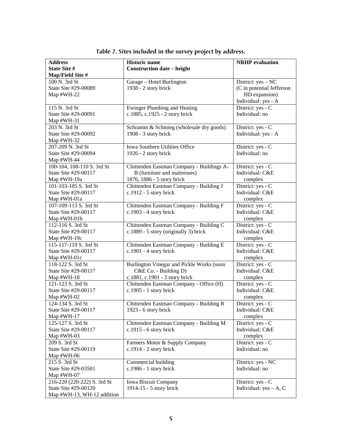| <b>Address</b>              | <b>Historic name</b>                      | <b>NRHP</b> evaluation    |
|-----------------------------|-------------------------------------------|---------------------------|
| State Site #                | <b>Construction date - height</b>         |                           |
| Map/Field Site #            |                                           |                           |
| 100 N. 3rd St               | Garage - Hotel Burlington                 | District: yes - NC        |
| State Site #29-00089        | 1938 - 2 story brick                      | (C in potential Jefferson |
| Map #WH-22                  |                                           | HD expansion)             |
|                             |                                           | Individual: yes - A       |
| 115 N. 3rd St               | <b>Ewinger Plumbing and Heating</b>       | District: yes - C         |
| State Site #29-00091        | c.1885, c.1925 - 2 story brick            | Individual: no            |
| Map $#WH-31$                |                                           |                           |
| 203 N. 3rd St               | Schramm & Schmieg (wholesale dry goods)   | District: yes - C         |
| State Site #29-00092        | 1908 - 3 story brick                      | Individual: yes - A       |
| Map $#WH-32$                |                                           |                           |
| 207-209 N. 3rd St           | Iowa Southern Utilities Office            | District: yes - C         |
| State Site #29-00094        | 1926 - 2 story brick                      | Individual: no            |
| Map #WH-44                  |                                           |                           |
| 100-104, 108-110 S. 3rd St  | Chittenden Eastman Company - Buildings A- | District: yes - C         |
| State Site #29-00117        | B (furniture and mattresses)              | Individual: C&E           |
| Map #WH-19a                 | 1876, 1886 - 5 story brick                | complex                   |
| 101-103-105 S. 3rd St       | Chittenden Eastman Company - Building J   | District: yes - C         |
| State Site #29-00117        | c.1912 - 5 story brick                    | Individual: C&E           |
| Map #WH-01a                 |                                           | complex                   |
| 107-109-113 S. 3rd St       | Chittenden Eastman Company - Building F   | District: yes - C         |
| State Site #29-00117        | c.1903 - 4 story brick                    | Individual: C&E           |
| Map #WH-01b                 |                                           | complex                   |
| 112-116 S. 3rd St           | Chittenden Eastman Company - Building C   | District: yes - C         |
| State Site #29-00117        | c.1889 - 5 story (originally 3) brick     | Individual: C&E           |
| Map #WH-19c                 |                                           | complex                   |
| 115-117-119 S. 3rd St       | Chittenden Eastman Company - Building E   | District: yes - C         |
| State Site #29-00117        | $c.1901 - 4$ story brick                  | Individual: C&E           |
| Map #WH-01c                 |                                           | complex                   |
| 118-122 S. 3rd St           | Burlington Vinegar and Pickle Works (soon | District: yes - C         |
| State Site #29-00117        | C&E Co. - Building D)                     | Individual: C&E           |
| Map $#WH-18$                | c.1881, c.1901 - 3 story brick            | complex                   |
| 121-123 S. 3rd St           | Chittenden Eastman Company - Office (H)   | District: yes - C         |
| State Site #29-00117        | c.1905 - 1 story brick                    | Individual: C&E           |
| Map #WH-02                  |                                           | complex                   |
| 124-134 S. 3rd St           | Chittenden Eastman Company - Building R   | District: yes - C         |
| State Site #29-00117        | 1923 - 6 story brick                      | Individual: C&E           |
| Map #WH-17                  |                                           | complex                   |
| 125-127 S. 3rd St           | Chittenden Eastman Company - Building M   | District: yes - C         |
| State Site #29-00117        | $c.1915 - 6$ story brick                  | Individual: C&E           |
| Map #WH-03                  |                                           | complex                   |
| 209 S. 3rd St               | Farmers Motor & Supply Company            | District: yes - C         |
| State Site #29-00119        | $c.1914 - 2$ story brick                  | Individual: no            |
| Map $#WH-06$                |                                           |                           |
| 215 S. 3rd St               | Commercial building                       | District: yes - NC        |
| State Site #29-03501        | $c.1986 - 1$ story brick                  | Individual: no            |
| Map #WH-07                  |                                           |                           |
| 216-220 (220-222) S. 3rd St | Iowa Biscuit Company                      | District: yes - C         |
| State Site #29-00120        | 1914-15 - 5 story brick                   | Individual: $yes - A, C$  |
| Map #WH-13, WH-12 addition  |                                           |                           |

**Table 2. Sites included in the survey project by address.**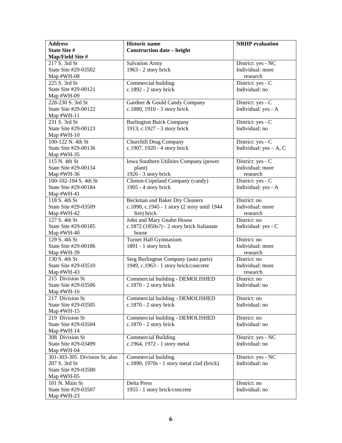| <b>Address</b>                | <b>Historic name</b>                         | <b>NRHP</b> evaluation   |
|-------------------------------|----------------------------------------------|--------------------------|
| State Site #                  | <b>Construction date – height</b>            |                          |
| Map/Field Site #              |                                              |                          |
| 217 S. 3rd St                 | <b>Salvation Army</b>                        | District: yes - NC       |
| State Site #29-03502          | 1963 - 2 story brick                         | Individual: more         |
| Map #WH-08                    |                                              | research                 |
| 225 S. 3rd St                 | Commercial building                          | District: yes - C        |
| State Site #29-00121          | c.1892 - 2 story brick                       | Individual: no           |
| Map #WH-09                    |                                              |                          |
| 228-230 S. 3rd St             | Gardner & Gould Candy Company                | District: yes - C        |
| State Site #29-00122          | c.1880, 1910 - 3 story brick                 | Individual: yes - A      |
| Map #WH-11                    |                                              |                          |
| 231 S. 3rd St                 | <b>Burlington Buick Company</b>              | District: yes - C        |
| State Site #29-00123          | 1913, c.1927 - 3 story brick                 | Individual: no           |
| Map #WH-10                    |                                              |                          |
| 100-122 N. 4th St             | Churchill Drug Company                       | District: yes - C        |
| State Site #29-00136          | c.1907, 1920 - 4 story brick                 | Individual: $yes - A, C$ |
| Map #WH-35                    |                                              |                          |
| 115 N. 4th St                 | Iowa Southern Utilities Company (power       | District: yes - C        |
| State Site #29-00134          | plant)                                       | Individual: more         |
| Map #WH-36                    | 1926 - 3 story brick                         | research                 |
| 100-102-104 S. 4th St         | Clinton-Copeland Company (candy)             | District: yes - C        |
| State Site #29-00184          | 1905 - 4 story brick                         | Individual: yes - A      |
| Map #WH-41                    |                                              |                          |
| 118 S. 4th St                 | Beckman and Baker Dry Cleaners               | District: no             |
| State Site #29-03509          | c.1890, c.1945 - 1 story (2 story until 1944 | Individual: more         |
| Map #WH-42                    | fire) brick                                  | research                 |
| 127 S. 4th St                 | John and Mary Gnahn House                    | District: no             |
| State Site #29-00185          | c.1872 (1850s?) - 2 story brick Italianate   | Individual: yes - C      |
| Map #WH-40                    | house                                        |                          |
| 129 S. 4th St                 | Turner Hall Gymnasium                        | District: no             |
| State Site #29-00186          | 1891 - 1 story brick                         | Individual: more         |
| Map #WH-39                    |                                              | research                 |
| 130 S. 4th St                 | Sieg Burlington Company (auto parts)         | District: no             |
| State Site #29-03510          | 1949, c.1963 - 1 story brick/concrete        | Individual: more         |
| Map #WH-43                    |                                              | research                 |
| 215 Division St               | Commercial building - DEMOLISHED             | District: no             |
| State Site #29-03506          | c.1870 - 2 story brick                       | Individual: no           |
| Map #WH-16                    |                                              |                          |
| 217 Division St               | Commercial building - DEMOLISHED             | District: no             |
| State Site #29-03505          | $c.1870 - 2$ story brick                     | Individual: no           |
| Map #WH-15                    |                                              |                          |
| 219 Division St               | Commercial building - DEMOLISHED             | District: no             |
| State Site #29-03504          | c.1870 - 2 story brick                       | Individual: no           |
| Map #WH-14                    |                                              |                          |
| 308 Division St               | <b>Commercial Building</b>                   | District: yes - NC       |
| State Site #29-03499          | c.1964, 1972 - 1 story metal                 | Individual: no           |
| Map #WH-04                    |                                              |                          |
| 301-303-305 Division St; also | Commercial building                          | District: yes - NC       |
| 207 S. 3rd St                 | c.1890, 1970s - 1 story metal clad (brick)   | Individual: no           |
| State Site #29-03500          |                                              |                          |
| Map $#WH-05$                  |                                              |                          |
| 101 N. Main St                | <b>Delta Press</b>                           | District: no             |
| State Site #29-03507          | 1955 - 1 story brick/concrete                | Individual: no           |
| Map #WH-23                    |                                              |                          |